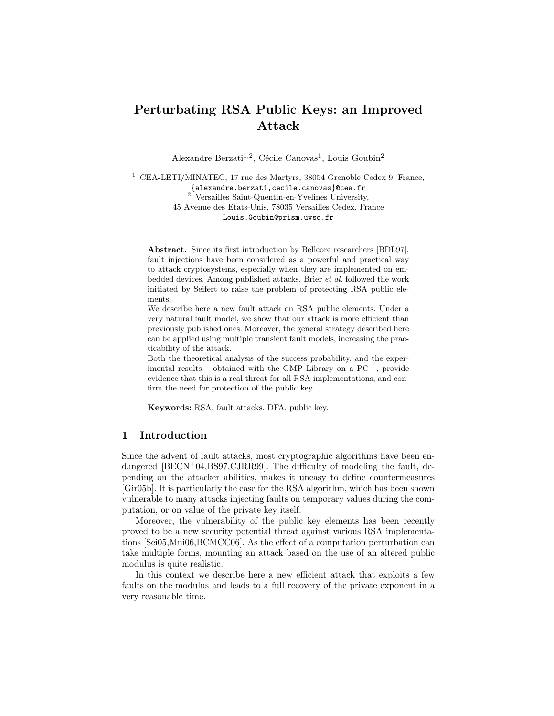# Perturbating RSA Public Keys: an Improved Attack

Alexandre Berzati<sup>1,2</sup>, Cécile Canovas<sup>1</sup>, Louis Goubin<sup>2</sup>

 $^1\,$  CEA-LETI/MINATEC, 17 rue des Martyrs, 38054 Grenoble Cedex 9, France, {alexandre.berzati,cecile.canovas}@cea.fr <sup>2</sup> Versailles Saint-Quentin-en-Yvelines University, 45 Avenue des Etats-Unis, 78035 Versailles Cedex, France Louis.Goubin@prism.uvsq.fr

Abstract. Since its first introduction by Bellcore researchers [BDL97], fault injections have been considered as a powerful and practical way to attack cryptosystems, especially when they are implemented on embedded devices. Among published attacks, Brier et al. followed the work initiated by Seifert to raise the problem of protecting RSA public elements.

We describe here a new fault attack on RSA public elements. Under a very natural fault model, we show that our attack is more efficient than previously published ones. Moreover, the general strategy described here can be applied using multiple transient fault models, increasing the practicability of the attack.

Both the theoretical analysis of the success probability, and the experimental results – obtained with the GMP Library on a PC –, provide evidence that this is a real threat for all RSA implementations, and confirm the need for protection of the public key.

Keywords: RSA, fault attacks, DFA, public key.

## 1 Introduction

Since the advent of fault attacks, most cryptographic algorithms have been endangered [BECN+04,BS97,CJRR99]. The difficulty of modeling the fault, depending on the attacker abilities, makes it uneasy to define countermeasures [Gir05b]. It is particularly the case for the RSA algorithm, which has been shown vulnerable to many attacks injecting faults on temporary values during the computation, or on value of the private key itself.

Moreover, the vulnerability of the public key elements has been recently proved to be a new security potential threat against various RSA implementations [Sei05,Mui06,BCMCC06]. As the effect of a computation perturbation can take multiple forms, mounting an attack based on the use of an altered public modulus is quite realistic.

In this context we describe here a new efficient attack that exploits a few faults on the modulus and leads to a full recovery of the private exponent in a very reasonable time.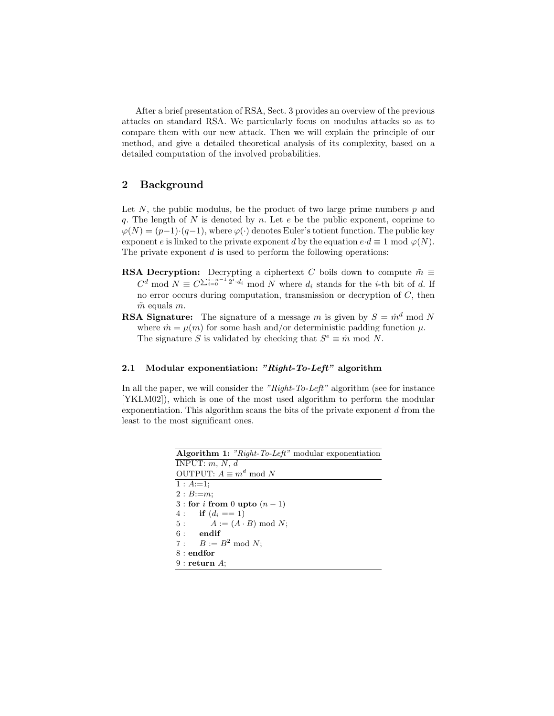After a brief presentation of RSA, Sect. 3 provides an overview of the previous attacks on standard RSA. We particularly focus on modulus attacks so as to compare them with our new attack. Then we will explain the principle of our method, and give a detailed theoretical analysis of its complexity, based on a detailed computation of the involved probabilities.

# 2 Background

Let  $N$ , the public modulus, be the product of two large prime numbers  $p$  and q. The length of  $N$  is denoted by  $n$ . Let  $e$  be the public exponent, coprime to  $\varphi(N) = (p-1)\cdot (q-1)$ , where  $\varphi(\cdot)$  denotes Euler's totient function. The public key exponent e is linked to the private exponent d by the equation  $e \cdot d \equiv 1 \mod \varphi(N)$ . The private exponent  $d$  is used to perform the following operations:

- **RSA Decryption:** Decrypting a ciphertext C boils down to compute  $\tilde{m} \equiv$  $C^d \mod N \equiv C^{\sum_{i=0}^{i=n-1} 2^i \cdot d_i} \mod N$  where  $d_i$  stands for the *i*-th bit of d. If no error occurs during computation, transmission or decryption of  $C$ , then  $\tilde{m}$  equals m.
- **RSA Signature:** The signature of a message m is given by  $S = m<sup>d</sup> \text{ mod } N$ where  $\dot{m} = \mu(m)$  for some hash and/or deterministic padding function  $\mu$ . The signature S is validated by checking that  $S^e \equiv \dot{m} \mod N$ .

## 2.1 Modular exponentiation: "Right-To-Left" algorithm

In all the paper, we will consider the "Right-To-Left" algorithm (see for instance [YKLM02]), which is one of the most used algorithm to perform the modular exponentiation. This algorithm scans the bits of the private exponent  $d$  from the least to the most significant ones.

| <b>Algorithm 1:</b> "Right-To-Left" modular exponentiation |
|------------------------------------------------------------|
| INPUT: $m, N, d$                                           |
| OUTPUT: $A \equiv m^d \mod N$                              |
| $1: A:=1;$                                                 |
| $2 : B := m$                                               |
| 3 : for i from 0 upto $(n-1)$                              |
| 4: if $(d_i == 1)$                                         |
| $A := (A \cdot B) \bmod N$ ;<br>5:                         |
| $6:$ endif                                                 |
| 7 : $B := B^2 \mod N$ ;                                    |
| $8:$ endfor                                                |
| $9:$ return $A$ :                                          |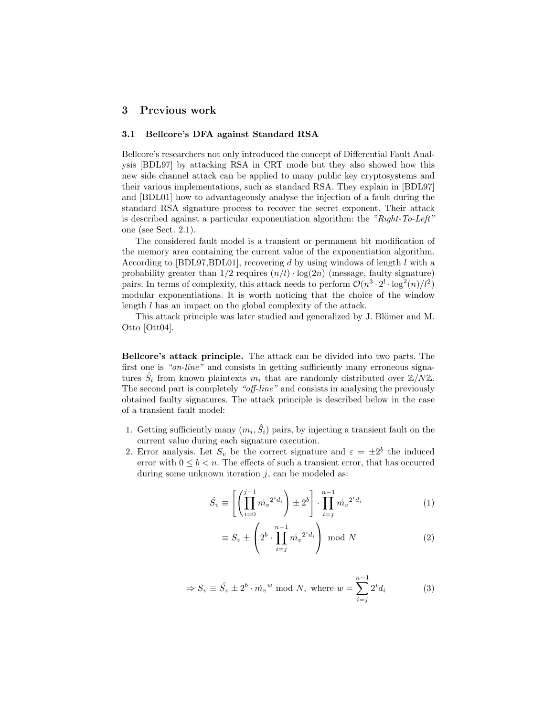# 3 Previous work

#### 3.1 Bellcore's DFA against Standard RSA

Bellcore's researchers not only introduced the concept of Differential Fault Analysis [BDL97] by attacking RSA in CRT mode but they also showed how this new side channel attack can be applied to many public key cryptosystems and their various implementations, such as standard RSA. They explain in [BDL97] and [BDL01] how to advantageously analyse the injection of a fault during the standard RSA signature process to recover the secret exponent. Their attack is described against a particular exponentiation algorithm: the "Right-To-Left" one (see Sect. 2.1).

The considered fault model is a transient or permanent bit modification of the memory area containing the current value of the exponentiation algorithm. According to [BDL97,BDL01], recovering  $d$  by using windows of length  $l$  with a probability greater than  $1/2$  requires  $(n/l) \cdot \log(2n)$  (message, faulty signature) pairs. In terms of complexity, this attack needs to perform  $\mathcal{O}(n^3 \cdot 2^l \cdot \log^2(n)/l^2)$ modular exponentiations. It is worth noticing that the choice of the window length l has an impact on the global complexity of the attack.

This attack principle was later studied and generalized by J. Blömer and M. Otto [Ott04].

Bellcore's attack principle. The attack can be divided into two parts. The first one is "on-line" and consists in getting sufficiently many erroneous signatures  $\hat{S}_i$  from known plaintexts  $m_i$  that are randomly distributed over  $\mathbb{Z}/N\mathbb{Z}$ . The second part is completely "off-line" and consists in analysing the previously obtained faulty signatures. The attack principle is described below in the case of a transient fault model:

- 1. Getting sufficiently many  $(m_i, \hat{S}_i)$  pairs, by injecting a transient fault on the current value during each signature execution.
- 2. Error analysis. Let  $S_v$  be the correct signature and  $\varepsilon = \pm 2^b$  the induced error with  $0 \leq b < n$ . The effects of such a transient error, that has occurred during some unknown iteration  $j$ , can be modeled as:

$$
\hat{S}_v \equiv \left[ \left( \prod_{i=0}^{j-1} \dot{m}_v^{2^i d_i} \right) \pm 2^b \right] \cdot \prod_{i=j}^{n-1} \dot{m}_v^{2^i d_i} \tag{1}
$$

$$
\equiv S_v \pm \left(2^b \cdot \prod_{i=j}^{n-1} m_v^{2^i d_i} \right) \bmod N \tag{2}
$$

$$
\Rightarrow S_v \equiv \hat{S}_v \pm 2^b \cdot \dot{m_v}^w \mod N, \text{ where } w = \sum_{i=j}^{n-1} 2^i d_i \tag{3}
$$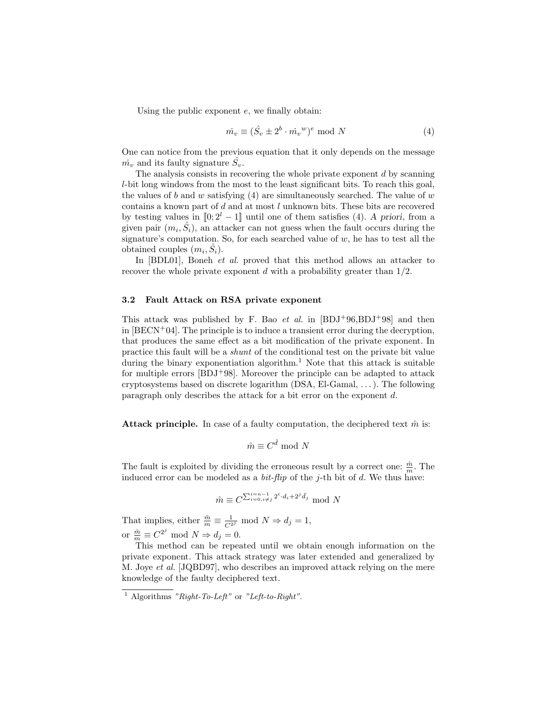Using the public exponent e, we finally obtain:

$$
\dot{m_v} \equiv (\hat{S_v} \pm 2^b \cdot \dot{m_v}^w)^e \text{ mod } N \tag{4}
$$

One can notice from the previous equation that it only depends on the message  $\dot{m_v}$  and its faulty signature  $\hat{S_v}$ .

The analysis consists in recovering the whole private exponent  $d$  by scanning l-bit long windows from the most to the least significant bits. To reach this goal, the values of b and w satisfying  $(4)$  are simultaneously searched. The value of w contains a known part of d and at most l unknown bits. These bits are recovered by testing values in  $[0; 2<sup>l</sup> - 1]$  until one of them satisfies (4). A priori, from a given pair  $(m_i, \hat{S}_i)$ , an attacker can not guess when the fault occurs during the signature's computation. So, for each searched value of  $w$ , he has to test all the obtained couples  $(m_i, \hat{S}_i)$ .

In [BDL01], Boneh *et al.* proved that this method allows an attacker to recover the whole private exponent d with a probability greater than  $1/2$ .

#### 3.2 Fault Attack on RSA private exponent

This attack was published by F. Bao *et al.* in  $[BDJ+96, BDJ+98]$  and then in  $[BECN<sup>+</sup>04]$ . The principle is to induce a transient error during the decryption, that produces the same effect as a bit modification of the private exponent. In practice this fault will be a shunt of the conditional test on the private bit value during the binary exponentiation algorithm.<sup>1</sup> Note that this attack is suitable for multiple errors  $[BDJ+98]$ . Moreover the principle can be adapted to attack cryptosystems based on discrete logarithm (DSA, El-Gamal, . . . ). The following paragraph only describes the attack for a bit error on the exponent d.

**Attack principle.** In case of a faulty computation, the deciphered text  $\hat{m}$  is:

$$
\hat{m} \equiv C^{\hat{d}} \bmod{N}
$$

The fault is exploited by dividing the erroneous result by a correct one:  $\frac{\hat{m}}{m}$ . The induced error can be modeled as a *bit-flip* of the j-th bit of d. We thus have:

$$
\hat{m} \equiv C^{\sum_{i=0, i \neq j}^{i=n-1} 2^i \cdot d_i + 2^j \bar{d}_j} \mod N
$$

That implies, either  $\frac{\hat{m}}{m} \equiv \frac{1}{C^{2j}} \mod N \Rightarrow d_j = 1$ , or  $\frac{\hat{m}}{m} \equiv C^{2^j} \text{ mod } N \Rightarrow d_j = 0.$ 

This method can be repeated until we obtain enough information on the private exponent. This attack strategy was later extended and generalized by M. Joye et al. [JQBD97], who describes an improved attack relying on the mere knowledge of the faulty deciphered text.

 $\overline{1}$  Algorithms "Right-To-Left" or "Left-to-Right".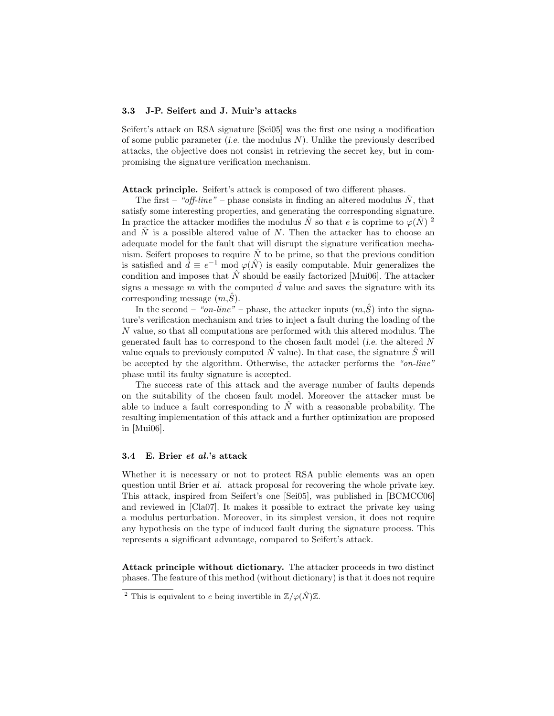#### 3.3 J-P. Seifert and J. Muir's attacks

Seifert's attack on RSA signature [Sei05] was the first one using a modification of some public parameter *(i.e.* the modulus  $N$ ). Unlike the previously described attacks, the objective does not consist in retrieving the secret key, but in compromising the signature verification mechanism.

Attack principle. Seifert's attack is composed of two different phases.

The first – "off-line" – phase consists in finding an altered modulus  $\hat{N}$ , that satisfy some interesting properties, and generating the corresponding signature. In practice the attacker modifies the modulus  $\hat{N}$  so that e is coprime to  $\varphi(\hat{N})^2$ and  $\hat{N}$  is a possible altered value of N. Then the attacker has to choose an adequate model for the fault that will disrupt the signature verification mechanism. Seifert proposes to require  $\hat{N}$  to be prime, so that the previous condition is satisfied and  $\hat{d} \equiv e^{-1} \mod \varphi(\hat{N})$  is easily computable. Muir generalizes the condition and imposes that  $\hat{N}$  should be easily factorized [Mui06]. The attacker signs a message m with the computed  $\hat{d}$  value and saves the signature with its corresponding message  $(m,\hat{S})$ .

In the second – "on-line" – phase, the attacker inputs  $(m,\hat{S})$  into the signature's verification mechanism and tries to inject a fault during the loading of the N value, so that all computations are performed with this altered modulus. The generated fault has to correspond to the chosen fault model (i.e. the altered N value equals to previously computed  $\hat{N}$  value). In that case, the signature  $\hat{S}$  will be accepted by the algorithm. Otherwise, the attacker performs the "on-line" phase until its faulty signature is accepted.

The success rate of this attack and the average number of faults depends on the suitability of the chosen fault model. Moreover the attacker must be able to induce a fault corresponding to  $\tilde{N}$  with a reasonable probability. The resulting implementation of this attack and a further optimization are proposed in [Mui06].

#### 3.4 E. Brier et al.'s attack

Whether it is necessary or not to protect RSA public elements was an open question until Brier et al. attack proposal for recovering the whole private key. This attack, inspired from Seifert's one [Sei05], was published in [BCMCC06] and reviewed in [Cla07]. It makes it possible to extract the private key using a modulus perturbation. Moreover, in its simplest version, it does not require any hypothesis on the type of induced fault during the signature process. This represents a significant advantage, compared to Seifert's attack.

Attack principle without dictionary. The attacker proceeds in two distinct phases. The feature of this method (without dictionary) is that it does not require

<sup>&</sup>lt;sup>2</sup> This is equivalent to e being invertible in  $\mathbb{Z}/\varphi(\hat{N})\mathbb{Z}$ .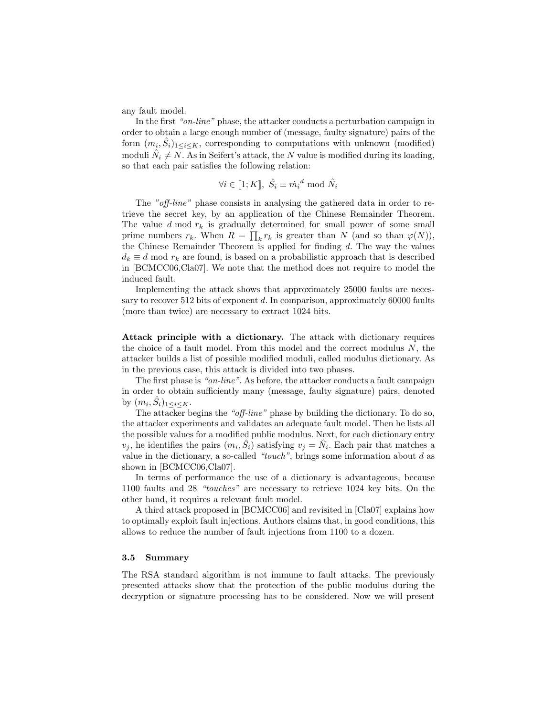any fault model.

In the first "on-line" phase, the attacker conducts a perturbation campaign in order to obtain a large enough number of (message, faulty signature) pairs of the form  $(m_i, \hat{S}_i)_{1 \leq i \leq K}$ , corresponding to computations with unknown (modified) moduli  $\hat{N}_i \neq N$ . As in Seifert's attack, the N value is modified during its loading, so that each pair satisfies the following relation:

$$
\forall i \in [\![1;K]\!], \; \hat{S_i} \equiv \dot{m_i}^d \text{ mod } \hat{N_i}
$$

The "off-line" phase consists in analysing the gathered data in order to retrieve the secret key, by an application of the Chinese Remainder Theorem. The value  $d \mod r_k$  is gradually determined for small power of some small prime numbers  $r_k$ . When  $R = \prod_k r_k$  is greater than N (and so than  $\varphi(N)$ ), the Chinese Remainder Theorem is applied for finding  $d$ . The way the values  $d_k \equiv d \mod r_k$  are found, is based on a probabilistic approach that is described in [BCMCC06,Cla07]. We note that the method does not require to model the induced fault.

Implementing the attack shows that approximately 25000 faults are necessary to recover 512 bits of exponent d. In comparison, approximately  $60000$  faults (more than twice) are necessary to extract 1024 bits.

Attack principle with a dictionary. The attack with dictionary requires the choice of a fault model. From this model and the correct modulus  $N$ , the attacker builds a list of possible modified moduli, called modulus dictionary. As in the previous case, this attack is divided into two phases.

The first phase is "on-line". As before, the attacker conducts a fault campaign in order to obtain sufficiently many (message, faulty signature) pairs, denoted by  $(m_i, \hat{S}_i)_{1 \leq i \leq K}$ .

The attacker begins the "off-line" phase by building the dictionary. To do so, the attacker experiments and validates an adequate fault model. Then he lists all the possible values for a modified public modulus. Next, for each dictionary entry  $v_j$ , he identifies the pairs  $(m_i, \hat{S}_i)$  satisfying  $v_j = \hat{N}_i$ . Each pair that matches a value in the dictionary, a so-called "touch", brings some information about  $d$  as shown in [BCMCC06,Cla07].

In terms of performance the use of a dictionary is advantageous, because 1100 faults and 28 "touches" are necessary to retrieve 1024 key bits. On the other hand, it requires a relevant fault model.

A third attack proposed in [BCMCC06] and revisited in [Cla07] explains how to optimally exploit fault injections. Authors claims that, in good conditions, this allows to reduce the number of fault injections from 1100 to a dozen.

#### 3.5 Summary

The RSA standard algorithm is not immune to fault attacks. The previously presented attacks show that the protection of the public modulus during the decryption or signature processing has to be considered. Now we will present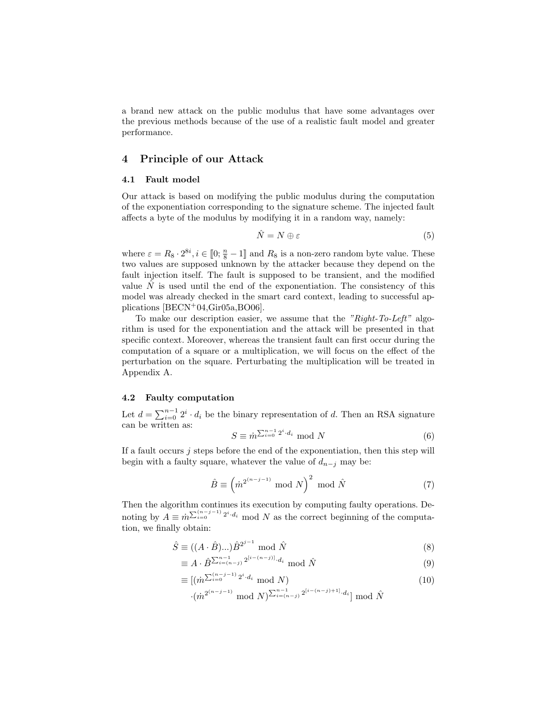a brand new attack on the public modulus that have some advantages over the previous methods because of the use of a realistic fault model and greater performance.

## 4 Principle of our Attack

## 4.1 Fault model

Our attack is based on modifying the public modulus during the computation of the exponentiation corresponding to the signature scheme. The injected fault affects a byte of the modulus by modifying it in a random way, namely:

$$
\hat{N} = N \oplus \varepsilon \tag{5}
$$

where  $\varepsilon = R_8 \cdot 2^{8i}, i \in [0; \frac{n}{8} - 1]$  and  $R_8$  is a non-zero random byte value. These two values are supposed unknown by the attacker because they depend on the fault injection itself. The fault is supposed to be transient, and the modified value  $N$  is used until the end of the exponentiation. The consistency of this model was already checked in the smart card context, leading to successful applications [BECN+04,Gir05a,BO06].

To make our description easier, we assume that the "Right-To-Left" algorithm is used for the exponentiation and the attack will be presented in that specific context. Moreover, whereas the transient fault can first occur during the computation of a square or a multiplication, we will focus on the effect of the perturbation on the square. Perturbating the multiplication will be treated in Appendix A.

#### 4.2 Faulty computation

Let  $d = \sum_{i=0}^{n-1} 2^i \cdot d_i$  be the binary representation of d. Then an RSA signature can be written as:

$$
S \equiv \dot{m}^{\sum_{i=0}^{n-1} 2^i \cdot d_i} \mod N \tag{6}
$$

If a fault occurs  $j$  steps before the end of the exponentiation, then this step will begin with a faulty square, whatever the value of  $d_{n-j}$  may be:

$$
\hat{B} \equiv \left(\dot{m}^{2^{(n-j-1)}} \bmod N\right)^2 \bmod \hat{N}
$$
 (7)

Then the algorithm continues its execution by computing faulty operations. Denoting by  $A \equiv \dot{m} \sum_{i=0}^{(n-j-1)} 2^i d_i$  mod N as the correct beginning of the computation, we finally obtain:

$$
\hat{S} \equiv ((A \cdot \hat{B})\dots)\hat{B}^{2^{j-1}} \text{ mod } \hat{N}
$$
\n
$$
(8)
$$

$$
\equiv A \cdot \hat{B}^{\sum_{i=(n-j)}^{n-1} 2^{[i-(n-j)]} \cdot d_i} \mod \hat{N}
$$
\n
$$
(9)
$$

$$
\equiv [(\dot{m}^{\sum_{i=0}^{(n-j-1)} 2^i \cdot d_i} \mod N) \cdot (\dot{m}^{2^{(n-j-1)}} \mod N)^{\sum_{i=(n-j)}^{n-1} 2^{[i-(n-j)+1]} \cdot d_i} \mod \hat{N}
$$
\n(10)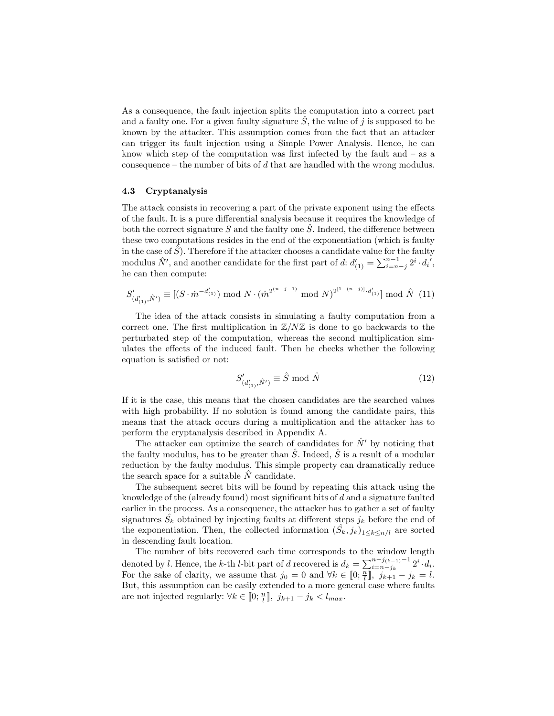As a consequence, the fault injection splits the computation into a correct part and a faulty one. For a given faulty signature  $S$ , the value of j is supposed to be known by the attacker. This assumption comes from the fact that an attacker can trigger its fault injection using a Simple Power Analysis. Hence, he can know which step of the computation was first infected by the fault and  $-$  as a consequence – the number of bits of  $d$  that are handled with the wrong modulus.

#### 4.3 Cryptanalysis

The attack consists in recovering a part of the private exponent using the effects of the fault. It is a pure differential analysis because it requires the knowledge of both the correct signature S and the faulty one  $\tilde{S}$ . Indeed, the difference between these two computations resides in the end of the exponentiation (which is faulty in the case of  $\hat{S}$ ). Therefore if the attacker chooses a candidate value for the faulty modulus  $\hat{N}'$ , and another candidate for the first part of d:  $d'_{(1)} = \sum_{i=n-j}^{n-1} 2^i \cdot d_i'$ , he can then compute:

$$
S'_{(d'_{(1)},\hat{N}')} \equiv [(S \cdot \dot{m}^{-d'_{(1)}}) \mod N \cdot (\dot{m}^{2^{(n-j-1)}} \mod N)^{2^{[1-(n-j)]} \cdot d'_{(1)}}] \mod \hat{N} \tag{11}
$$

The idea of the attack consists in simulating a faulty computation from a correct one. The first multiplication in  $\mathbb{Z}/N\mathbb{Z}$  is done to go backwards to the perturbated step of the computation, whereas the second multiplication simulates the effects of the induced fault. Then he checks whether the following equation is satisfied or not:

$$
S'_{(d'_{(1)},\hat{N}')} \equiv \hat{S} \bmod \hat{N}
$$
 (12)

If it is the case, this means that the chosen candidates are the searched values with high probability. If no solution is found among the candidate pairs, this means that the attack occurs during a multiplication and the attacker has to perform the cryptanalysis described in Appendix A.

The attacker can optimize the search of candidates for  $\hat{N}$  by noticing that the faulty modulus, has to be greater than  $\hat{S}$ . Indeed,  $\hat{S}$  is a result of a modular reduction by the faulty modulus. This simple property can dramatically reduce the search space for a suitable  $\hat{N}$  candidate.

The subsequent secret bits will be found by repeating this attack using the knowledge of the (already found) most significant bits of  $d$  and a signature faulted earlier in the process. As a consequence, the attacker has to gather a set of faulty signatures  $\hat{S}_k$  obtained by injecting faults at different steps  $j_k$  before the end of the exponentiation. Then, the collected information  $(\hat{S}_k, j_k)_{1 \leq k \leq n/l}$  are sorted in descending fault location.

The number of bits recovered each time corresponds to the window length denoted by l. Hence, the k-th l-bit part of d recovered is  $d_k = \sum_{i=n-j_k}^{n-j_{(k-1)}-1} 2^i \cdot d_i$ . For the sake of clarity, we assume that  $j_0 = 0$  and  $\forall k \in [0; \frac{n}{l}], j_{k+1} - j_k = l$ . But, this assumption can be easily extended to a more general case where faults are not injected regularly:  $\forall k \in [0; \frac{n}{l}], j_{k+1} - j_k < l_{max}$ .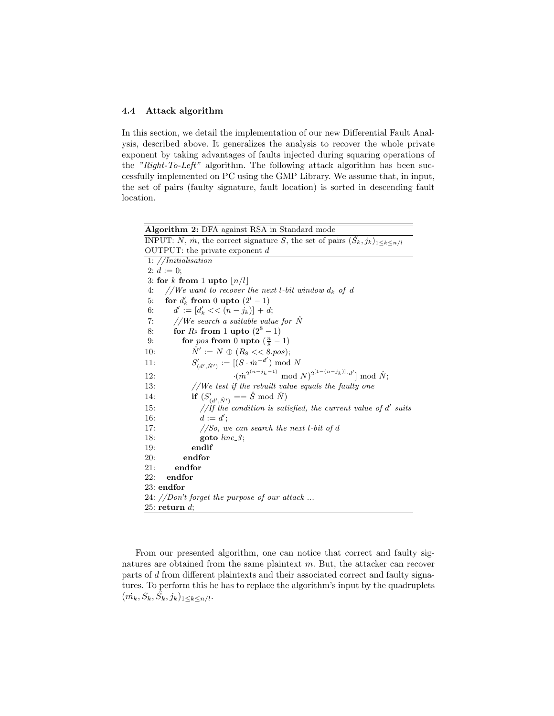## 4.4 Attack algorithm

In this section, we detail the implementation of our new Differential Fault Analysis, described above. It generalizes the analysis to recover the whole private exponent by taking advantages of faults injected during squaring operations of the "Right-To-Left" algorithm. The following attack algorithm has been successfully implemented on PC using the GMP Library. We assume that, in input, the set of pairs (faulty signature, fault location) is sorted in descending fault location.

| Algorithm 2: DFA against RSA in Standard mode                                            |
|------------------------------------------------------------------------------------------|
| INPUT: N, m, the correct signature S, the set of pairs $(S_k, j_k)_{1 \leq k \leq n/l}$  |
| OUTPUT: the private exponent $d$                                                         |
| 1: $//$ <i>Initialisation</i>                                                            |
| 2: $d := 0$ :                                                                            |
| 3: for k from 1 upto $ n/l $                                                             |
| //We want to recover the next l-bit window $d_k$ of d<br>4:                              |
| for $d'_k$ from 0 upto $(2^l - 1)$<br>5:                                                 |
| $d' := [d'_{k} << (n - j_{k})] + d;$<br>6:                                               |
| //We search a suitable value for $\hat{N}$<br>7:                                         |
| for $R_8$ from 1 upto $(2^8 - 1)$<br>8:                                                  |
| for pos from 0 upto $(\frac{n}{8}-1)$<br>9:                                              |
| $\hat{N}' := N \oplus (R_8 \ll 8. pos);$<br>10:                                          |
| $S'_{(d',\hat{N}')}:=[(S\cdot\hat{m}^{-d'})\text{ mod }N]$<br>11:                        |
| $\cdot (\dot{m}^{2^{(n-j_k-1)}} \mod N)^{2^{[1-(n-j_k)]} \cdot d'} \mod \hat{N};$<br>12: |
| //We test if the rebuilt value equals the faulty one<br>13:                              |
| <b>if</b> $(S'_{(d', \hat{N}')} = \hat{S} \mod \hat{N})$<br>14:                          |
| //If the condition is satisfied, the current value of $d'$ suits<br>15:                  |
| $d := d'$ :<br>16:                                                                       |
| //So, we can search the next l-bit of d<br>17:                                           |
| 18:<br>goto $line_3$ ;                                                                   |
| 19:<br>endif                                                                             |
| endfor<br>20:                                                                            |
| endfor<br>21:                                                                            |
| endfor<br>22:                                                                            |
| 23: endfor                                                                               |
| 24: //Don't forget the purpose of our attack                                             |
| 25: return $d$ ;                                                                         |

From our presented algorithm, one can notice that correct and faulty signatures are obtained from the same plaintext  $m$ . But, the attacker can recover parts of d from different plaintexts and their associated correct and faulty signatures. To perform this he has to replace the algorithm's input by the quadruplets  $(\dot{m_k}, S_k, \hat{S_k}, j_k)_{1 \leq k \leq n/l}$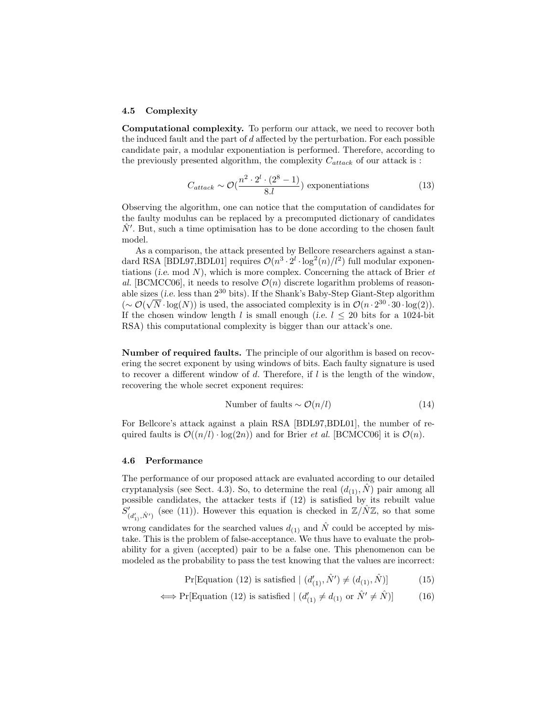#### 4.5 Complexity

Computational complexity. To perform our attack, we need to recover both the induced fault and the part of  $d$  affected by the perturbation. For each possible candidate pair, a modular exponentiation is performed. Therefore, according to the previously presented algorithm, the complexity  $C_{attack}$  of our attack is :

$$
C_{attack} \sim \mathcal{O}(\frac{n^2 \cdot 2^l \cdot (2^8 - 1)}{8.l})
$$
 exponentiations (13)

Observing the algorithm, one can notice that the computation of candidates for the faulty modulus can be replaced by a precomputed dictionary of candidates  $\hat{N}'$ . But, such a time optimisation has to be done according to the chosen fault model.

As a comparison, the attack presented by Bellcore researchers against a standard RSA [BDL97,BDL01] requires  $\mathcal{O}(n^3 \cdot 2^l \cdot \log^2(n)/l^2)$  full modular exponentiations (i.e. mod  $N$ ), which is more complex. Concerning the attack of Brier  $et$ al. [BCMCC06], it needs to resolve  $\mathcal{O}(n)$  discrete logarithm problems of reasonable sizes (i.e. less than  $2^{30}$  bits). If the Shank's Baby-Step Giant-Step algorithm  $\left(\sim \mathcal{O}(\sqrt{N} \cdot \log(N))\right)$  is used, the associated complexity is in  $\mathcal{O}(n \cdot 2^{30} \cdot 30 \cdot \log(2)).$ If the chosen window length l is small enough (i.e.  $l \leq 20$  bits for a 1024-bit RSA) this computational complexity is bigger than our attack's one.

Number of required faults. The principle of our algorithm is based on recovering the secret exponent by using windows of bits. Each faulty signature is used to recover a different window of d. Therefore, if  $l$  is the length of the window, recovering the whole secret exponent requires:

Number of faults 
$$
\sim \mathcal{O}(n/l)
$$
 (14)

For Bellcore's attack against a plain RSA [BDL97,BDL01], the number of required faults is  $\mathcal{O}((n/l) \cdot \log(2n))$  and for Brier *et al.* [BCMCC06] it is  $\mathcal{O}(n)$ .

#### 4.6 Performance

The performance of our proposed attack are evaluated according to our detailed cryptanalysis (see Sect. 4.3). So, to determine the real  $(d_{(1)}, \tilde{N})$  pair among all possible candidates, the attacker tests if (12) is satisfied by its rebuilt value  $S'_{\ell}$  $d'_{(d'_1,\hat{N}') }$  (see (11)). However this equation is checked in  $\mathbb{Z}/N\mathbb{Z}$ , so that some wrong candidates for the searched values  $d_{(1)}$  and  $\hat{N}$  could be accepted by mistake. This is the problem of false-acceptance. We thus have to evaluate the probability for a given (accepted) pair to be a false one. This phenomenon can be modeled as the probability to pass the test knowing that the values are incorrect:

$$
Pr[Equation (12) is satisfied | (d'_{(1)}, \hat{N}') \neq (d_{(1)}, \hat{N})]
$$
(15)

$$
\iff \Pr[\text{Equation (12) is satisfied } | (d'_{(1)} \neq d_{(1)} \text{ or } \hat{N}' \neq \hat{N})]
$$
(16)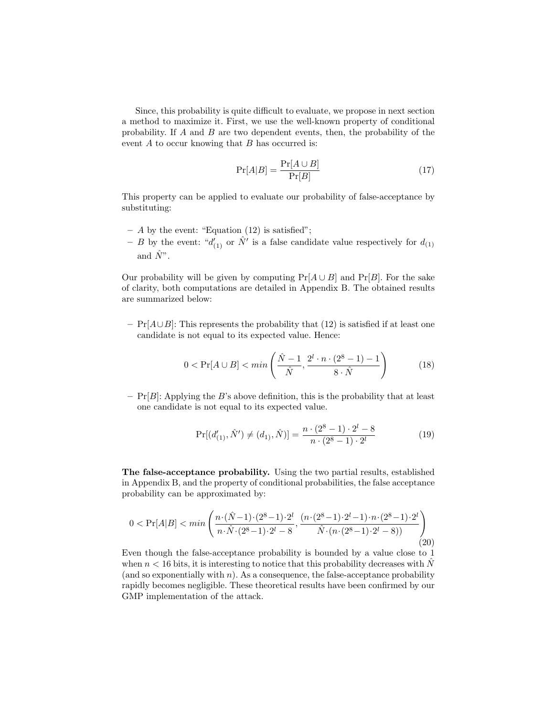Since, this probability is quite difficult to evaluate, we propose in next section a method to maximize it. First, we use the well-known property of conditional probability. If  $A$  and  $B$  are two dependent events, then, the probability of the event  $A$  to occur knowing that  $B$  has occurred is:

$$
\Pr[A|B] = \frac{\Pr[A \cup B]}{\Pr[B]} \tag{17}
$$

This property can be applied to evaluate our probability of false-acceptance by substituting:

- $A$  by the event: "Equation (12) is satisfied";
- B by the event: " $d'_{(1)}$  or  $\hat{N}'$  is a false candidate value respectively for  $d_{(1)}$ and  $\hat{N}^"$ .

Our probability will be given by computing  $Pr[A \cup B]$  and  $Pr[B]$ . For the sake of clarity, both computations are detailed in Appendix B. The obtained results are summarized below:

 $-$  Pr[ $A \cup B$ ]: This represents the probability that (12) is satisfied if at least one candidate is not equal to its expected value. Hence:

$$
0 < \Pr[A \cup B] < \min\left(\frac{\hat{N}-1}{\hat{N}}, \frac{2^l \cdot n \cdot (2^8 - 1) - 1}{8 \cdot \hat{N}}\right) \tag{18}
$$

 $-$  Pr[B]: Applying the B's above definition, this is the probability that at least one candidate is not equal to its expected value.

$$
Pr[(d'_{(1)}, \hat{N}') \neq (d_1), \hat{N})] = \frac{n \cdot (2^8 - 1) \cdot 2^l - 8}{n \cdot (2^8 - 1) \cdot 2^l} \tag{19}
$$

The false-acceptance probability. Using the two partial results, established in Appendix B, and the property of conditional probabilities, the false acceptance probability can be approximated by:

$$
0 < \Pr[A|B] < \min\left(\frac{n \cdot (\hat{N}-1) \cdot (2^8-1) \cdot 2^l}{n \cdot \hat{N} \cdot (2^8-1) \cdot 2^l - 8}, \frac{(n \cdot (2^8-1) \cdot 2^l - 1) \cdot n \cdot (2^8-1) \cdot 2^l}{\hat{N} \cdot (n \cdot (2^8-1) \cdot 2^l - 8)}\right) \tag{20}
$$

Even though the false-acceptance probability is bounded by a value close to 1 when  $n < 16$  bits, it is interesting to notice that this probability decreases with  $\tilde{N}$ (and so exponentially with  $n$ ). As a consequence, the false-acceptance probability rapidly becomes negligible. These theoretical results have been confirmed by our GMP implementation of the attack.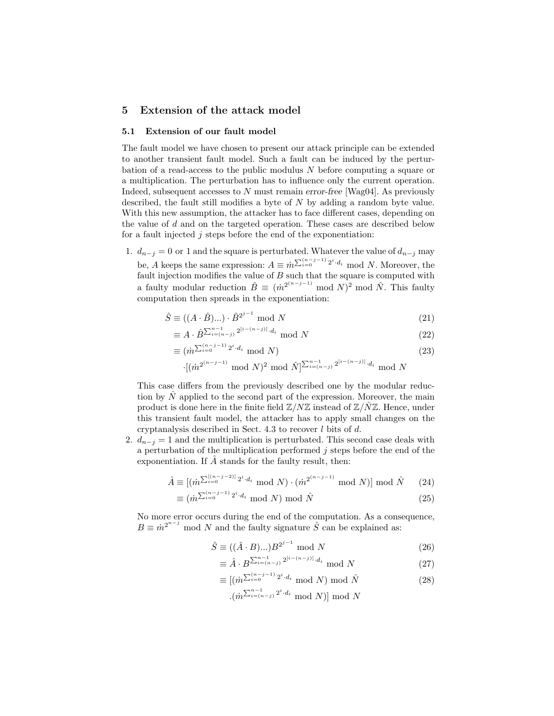# 5 Extension of the attack model

#### 5.1 Extension of our fault model

The fault model we have chosen to present our attack principle can be extended to another transient fault model. Such a fault can be induced by the perturbation of a read-access to the public modulus N before computing a square or a multiplication. The perturbation has to influence only the current operation. Indeed, subsequent accesses to  $N$  must remain error-free [Wag04]. As previously described, the fault still modifies a byte of N by adding a random byte value. With this new assumption, the attacker has to face different cases, depending on the value of d and on the targeted operation. These cases are described below for a fault injected  $j$  steps before the end of the exponentiation:

1.  $d_{n-j} = 0$  or 1 and the square is perturbated. Whatever the value of  $d_{n-j}$  may be, A keeps the same expression:  $A \equiv \dot{m}^{\sum_{i=0}^{(n-j-1)} 2^i \cdot d_i} \mod N$ . Moreover, the fault injection modifies the value of  $B$  such that the square is computed with a faulty modular reduction  $\hat{B} \equiv (\dot{m}^{2^{(n-j-1)}} \mod N)^2 \mod \hat{N}$ . This faulty computation then spreads in the exponentiation:

$$
\hat{S} \equiv ((A \cdot \hat{B})\dots) \cdot \hat{B}^{2^{j-1}} \text{ mod } N \tag{21}
$$

$$
\equiv A \cdot \hat{B}^{\sum_{i=(n-j)}^{n-1} 2^{[i-(n-j)]} \cdot d_i} \mod N \tag{22}
$$

$$
\equiv (\dot{m}^{\sum_{i=0}^{(n-j-1)} 2^i \cdot d_i} \mod N) \tag{23}
$$

$$
\cdot [ (m^{2^{(n-j-1)}} \bmod N)^2 \bmod \hat{N} ]^{\sum_{i=(n-j)}^{n-1} 2^{[i-(n-j)]} \cdot d_i} \bmod N
$$

This case differs from the previously described one by the modular reduction by  $\hat{N}$  applied to the second part of the expression. Moreover, the main product is done here in the finite field  $\mathbb{Z}/N\mathbb{Z}$  instead of  $\mathbb{Z}/N\mathbb{Z}$ . Hence, under this transient fault model, the attacker has to apply small changes on the cryptanalysis described in Sect. 4.3 to recover l bits of d.

2.  $d_{n-j} = 1$  and the multiplication is perturbated. This second case deals with a perturbation of the multiplication performed  $j$  steps before the end of the exponentiation. If  $\hat{A}$  stands for the faulty result, then:

$$
\hat{A} \equiv [(\dot{m}^{\sum_{i=0}^{[(n-j-2)]} 2^i \cdot d_i} \mod N) \cdot (\dot{m}^{2^{(n-j-1)}} \mod N)] \mod \hat{N} \tag{24}
$$

$$
\equiv (\dot{m}^{\sum_{i=0}^{(n-j-1)} 2^i \cdot d_i} \bmod N) \bmod \hat{N}
$$
 (25)

No more error occurs during the end of the computation. As a consequence,  $B \equiv m^{2^{n-j}}$  mod N and the faulty signature  $\hat{S}$  can be explained as:

$$
\hat{S} \equiv ((\hat{A} \cdot B) \dots) B^{2^{j-1}} \mod N \tag{26}
$$

$$
\equiv \hat{A} \cdot B^{\sum_{i=(n-j)}^{n-1} 2^{[i-(n-j)]} \cdot d_i} \mod N \tag{27}
$$

$$
\equiv \left[ \left( \dot{m}^{\sum_{i=0}^{(n-j-1)} 2^i \cdot d_i} \mod N \right) \mod \hat{N} \right]
$$
\n
$$
\sum_{i=1}^{n-1} 2^i \cdot d_i \mod N \tag{28}
$$

$$
\cdot (\dot{m}^{\sum_{i=(n-j)}^{n-1}2^i \cdot d_i} \bmod N)] \bmod N
$$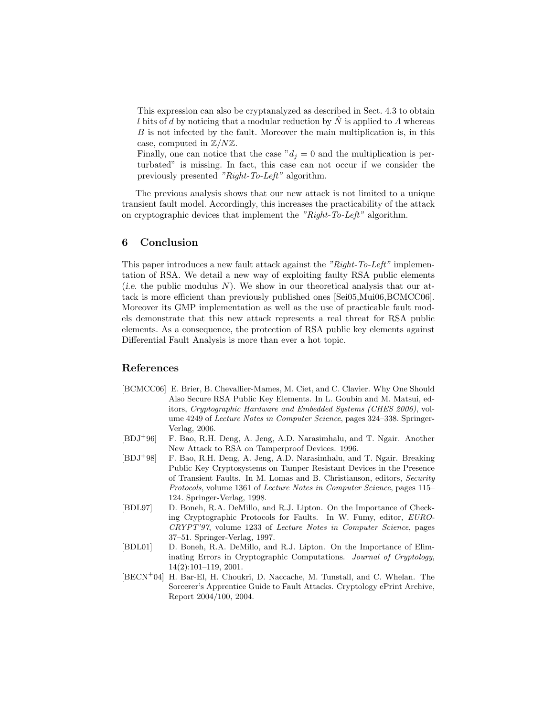This expression can also be cryptanalyzed as described in Sect. 4.3 to obtain l bits of d by noticing that a modular reduction by  $\tilde{N}$  is applied to A whereas  $B$  is not infected by the fault. Moreover the main multiplication is, in this case, computed in  $\mathbb{Z}/N\mathbb{Z}$ .

Finally, one can notice that the case  $'d<sub>i</sub> = 0$  and the multiplication is perturbated" is missing. In fact, this case can not occur if we consider the previously presented "Right-To-Left" algorithm.

The previous analysis shows that our new attack is not limited to a unique transient fault model. Accordingly, this increases the practicability of the attack on cryptographic devices that implement the "Right-To-Left" algorithm.

## 6 Conclusion

This paper introduces a new fault attack against the "Right-To-Left" implementation of RSA. We detail a new way of exploiting faulty RSA public elements (*i.e.* the public modulus N). We show in our theoretical analysis that our attack is more efficient than previously published ones [Sei05,Mui06,BCMCC06]. Moreover its GMP implementation as well as the use of practicable fault models demonstrate that this new attack represents a real threat for RSA public elements. As a consequence, the protection of RSA public key elements against Differential Fault Analysis is more than ever a hot topic.

## References

- [BCMCC06] E. Brier, B. Chevallier-Mames, M. Ciet, and C. Clavier. Why One Should Also Secure RSA Public Key Elements. In L. Goubin and M. Matsui, editors, Cryptographic Hardware and Embedded Systems (CHES 2006), volume 4249 of Lecture Notes in Computer Science, pages 324–338. Springer-Verlag, 2006.
- [BDJ<sup>+</sup>96] F. Bao, R.H. Deng, A. Jeng, A.D. Narasimhalu, and T. Ngair. Another New Attack to RSA on Tamperproof Devices. 1996.
- [BDJ<sup>+</sup>98] F. Bao, R.H. Deng, A. Jeng, A.D. Narasimhalu, and T. Ngair. Breaking Public Key Cryptosystems on Tamper Resistant Devices in the Presence of Transient Faults. In M. Lomas and B. Christianson, editors, Security Protocols, volume 1361 of Lecture Notes in Computer Science, pages 115– 124. Springer-Verlag, 1998.
- [BDL97] D. Boneh, R.A. DeMillo, and R.J. Lipton. On the Importance of Checking Cryptographic Protocols for Faults. In W. Fumy, editor, EURO-CRYPT'97, volume 1233 of Lecture Notes in Computer Science, pages 37–51. Springer-Verlag, 1997.
- [BDL01] D. Boneh, R.A. DeMillo, and R.J. Lipton. On the Importance of Eliminating Errors in Cryptographic Computations. Journal of Cryptology, 14(2):101–119, 2001.
- [BECN<sup>+</sup>04] H. Bar-El, H. Choukri, D. Naccache, M. Tunstall, and C. Whelan. The Sorcerer's Apprentice Guide to Fault Attacks. Cryptology ePrint Archive, Report 2004/100, 2004.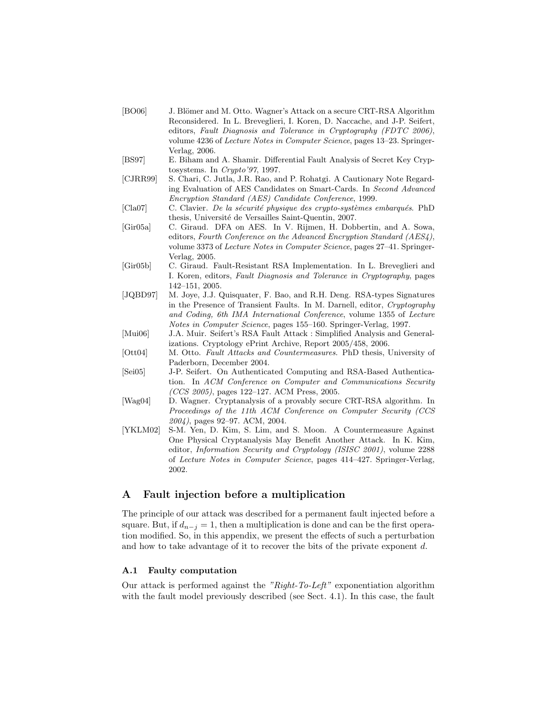- [BO06] J. Blömer and M. Otto. Wagner's Attack on a secure CRT-RSA Algorithm Reconsidered. In L. Breveglieri, I. Koren, D. Naccache, and J-P. Seifert, editors, Fault Diagnosis and Tolerance in Cryptography (FDTC 2006), volume 4236 of Lecture Notes in Computer Science, pages 13–23. Springer-Verlag, 2006.
- [BS97] E. Biham and A. Shamir. Differential Fault Analysis of Secret Key Cryptosystems. In Crypto'97, 1997.
- [CJRR99] S. Chari, C. Jutla, J.R. Rao, and P. Rohatgi. A Cautionary Note Regarding Evaluation of AES Candidates on Smart-Cards. In Second Advanced Encryption Standard (AES) Candidate Conference, 1999.
- [Cla07] C. Clavier. De la sécurité physique des crypto-systèmes embarqués. PhD thesis, Université de Versailles Saint-Quentin, 2007.
- [Gir05a] C. Giraud. DFA on AES. In V. Rijmen, H. Dobbertin, and A. Sowa, editors, Fourth Conference on the Advanced Encryption Standard (AES4), volume 3373 of Lecture Notes in Computer Science, pages 27–41. Springer-Verlag, 2005.
- [Gir05b] C. Giraud. Fault-Resistant RSA Implementation. In L. Breveglieri and I. Koren, editors, Fault Diagnosis and Tolerance in Cryptography, pages 142–151, 2005.
- [JQBD97] M. Joye, J.J. Quisquater, F. Bao, and R.H. Deng. RSA-types Signatures in the Presence of Transient Faults. In M. Darnell, editor, Cryptography and Coding, 6th IMA International Conference, volume 1355 of Lecture Notes in Computer Science, pages 155–160. Springer-Verlag, 1997.
- [Mui06] J.A. Muir. Seifert's RSA Fault Attack : Simplified Analysis and Generalizations. Cryptology ePrint Archive, Report 2005/458, 2006.
- [Ott04] M. Otto. Fault Attacks and Countermeasures. PhD thesis, University of Paderborn, December 2004.
- [Sei05] J-P. Seifert. On Authenticated Computing and RSA-Based Authentication. In ACM Conference on Computer and Communications Security (CCS 2005), pages 122–127. ACM Press, 2005.
- [Wag04] D. Wagner. Cryptanalysis of a provably secure CRT-RSA algorithm. In Proceedings of the 11th ACM Conference on Computer Security (CCS 2004), pages 92–97. ACM, 2004.
- [YKLM02] S-M. Yen, D. Kim, S. Lim, and S. Moon. A Countermeasure Against One Physical Cryptanalysis May Benefit Another Attack. In K. Kim, editor, Information Security and Cryptology (ISISC 2001), volume 2288 of Lecture Notes in Computer Science, pages 414–427. Springer-Verlag, 2002.

# A Fault injection before a multiplication

The principle of our attack was described for a permanent fault injected before a square. But, if  $d_{n-j} = 1$ , then a multiplication is done and can be the first operation modified. So, in this appendix, we present the effects of such a perturbation and how to take advantage of it to recover the bits of the private exponent d.

## A.1 Faulty computation

Our attack is performed against the "Right-To-Left" exponentiation algorithm with the fault model previously described (see Sect. 4.1). In this case, the fault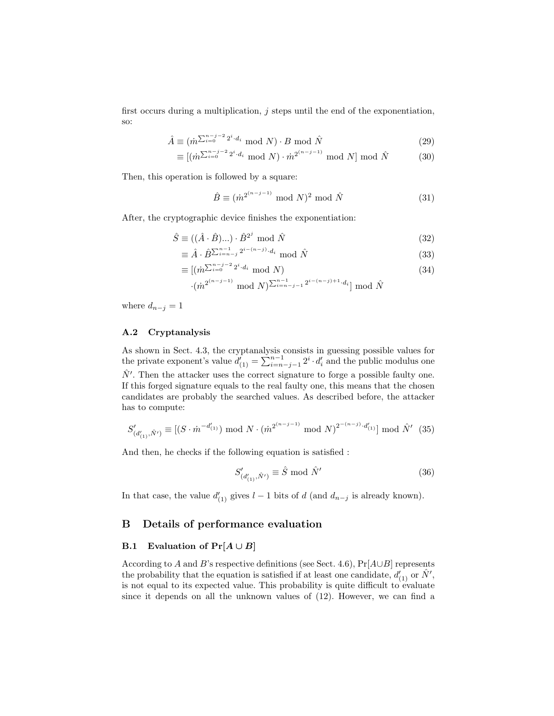first occurs during a multiplication,  $j$  steps until the end of the exponentiation, so:

$$
\hat{A} \equiv (\dot{m}^{\sum_{i=0}^{n-j-2} 2^i \cdot d_i} \mod N) \cdot B \mod \hat{N}
$$
\n(29)

$$
\equiv [(\dot{m}^{\sum_{i=0}^{n-j-2}2^i \cdot d_i} \mod N) \cdot \dot{m}^{2^{(n-j-1)}} \mod N] \mod \hat{N} \tag{30}
$$

Then, this operation is followed by a square:

$$
\hat{B} \equiv (\dot{m}^{2^{(n-j-1)}} \bmod N)^2 \bmod \hat{N}
$$
\n(31)

After, the cryptographic device finishes the exponentiation:

$$
\hat{S} \equiv ((\hat{A} \cdot \hat{B})\dots) \cdot \hat{B}^{2^j} \text{ mod } \hat{N}
$$
\n(32)

$$
\equiv \hat{A} \cdot \hat{B}^{\sum_{i=n-j}^{n-1} 2^{i-(n-j)} \cdot d_i} \mod \hat{N}
$$
\n(33)

$$
\equiv [(\dot{m}^{\sum_{i=0}^{n-j-2} 2^i \cdot d_i} \mod N) \tag{34}
$$

$$
\cdot (\dot{m}^{2^{(n-j-1)}} \bmod N)^{\sum_{i=n-j-1}^{n-1} 2^{i-(n-j)+1} \cdot d_i} \bmod \hat{N}
$$

where  $d_{n-j} = 1$ 

## A.2 Cryptanalysis

As shown in Sect. 4.3, the cryptanalysis consists in guessing possible values for the private exponent's value  $d'_{(1)} = \sum_{i=n-j-1}^{n-1} 2^i \cdot d'_i$  and the public modulus one  $\hat{N}'$ . Then the attacker uses the correct signature to forge a possible faulty one. If this forged signature equals to the real faulty one, this means that the chosen candidates are probably the searched values. As described before, the attacker has to compute:

$$
S'_{(d'_{(1)},\hat{N}')}\equiv [(S\cdot\hat{m}^{-d'_{(1)}})\bmod N\cdot(\hat{m}^{2^{(n-j-1)}}\bmod N)^{2^{-(n-j)}\cdot d'_{(1)}}]\bmod \hat{N}'\tag{35}
$$

And then, he checks if the following equation is satisfied :

$$
S'_{(d'_{(1)},\hat{N}')} \equiv \hat{S} \bmod{\hat{N}'}
$$
 (36)

In that case, the value  $d'_{(1)}$  gives  $l-1$  bits of d (and  $d_{n-j}$  is already known).

# B Details of performance evaluation

## B.1 Evaluation of  $Pr[A \cup B]$

According to A and B's respective definitions (see Sect. 4.6),  $Pr[A \cup B]$  represents the probability that the equation is satisfied if at least one candidate,  $d'_{(1)}$  or  $\hat{N}',$ is not equal to its expected value. This probability is quite difficult to evaluate since it depends on all the unknown values of (12). However, we can find a